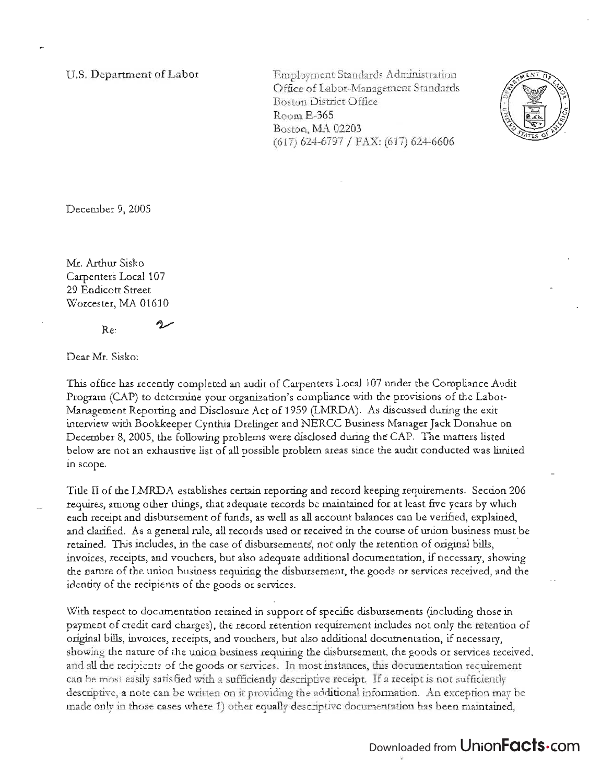U.S. Department of Labor

Employment Standards Administration Office of Labor-Management Standards Boston District Office RoomE-365 Boston, MA 02203 (617) 624-6797 / FAX: (617) 624-6606



December 9, 2005

Mr. Arthur Sisko Carpenters Local 107 29 Endicott Street Worcester, MA 01610

سردح

Dear Mr. Sisko:

 $Re.$ 

This office has recendy completed an audit of Carpenters Local 107 under the Compliance Audit Program (CAP) to determine your organization's compliance with the provisions of the Labor-Management Reporting and Disclosure Act of 1959 (LMRDA). As discussed during the exit interview with Bookkeeper Cynthia Drelinger and NERCC Business Manager Jack Donahue on December 8, 2005, the following problems were disclosed during the CAP. The matters listed below are not an exhaustive list of all possible problem areas since the audit conducted was limited in scope.

Tide II of the LMRDA establishes certain reporting and record keeping requirements. Section 206 requires, among other things, that adequate records be maintained for at least five years by which each receipt and disbursement of funds, as well as all account balances can be verified, explained, and clarified. As a general rule, all records used or received in the course of union business must be retained. This includes, in the case of disbursements, not only the retention of original bills, invoices, receipts, and vouchers, but also adequate additional documentation, if necessary, showing the nature of the union business requiring the disbursement, the goods or services received, and the identity of the recipients of the goods or services.

With respect to documentation retained in support of specific disbursements (including those in payment of credit card charges), the record retention requirement includes not only the retention of original bills, invoices, receipts, and vouchers, but also additional documentation, if necessary, showing the nature of the union business requiring the disbursement, the goods or services received, and all the recipients of the goods or services. In most instances, this documentation requirement can be most easily satisfied with a sufficiendy descriptive receipt. If a receipt is not sufficiendy descriptive, a note can be written on it providing the additional information. An exception may be made only in those cases where 1) other equally descriptive documentation has been maintained,

## Downloaded from UnionFacts.com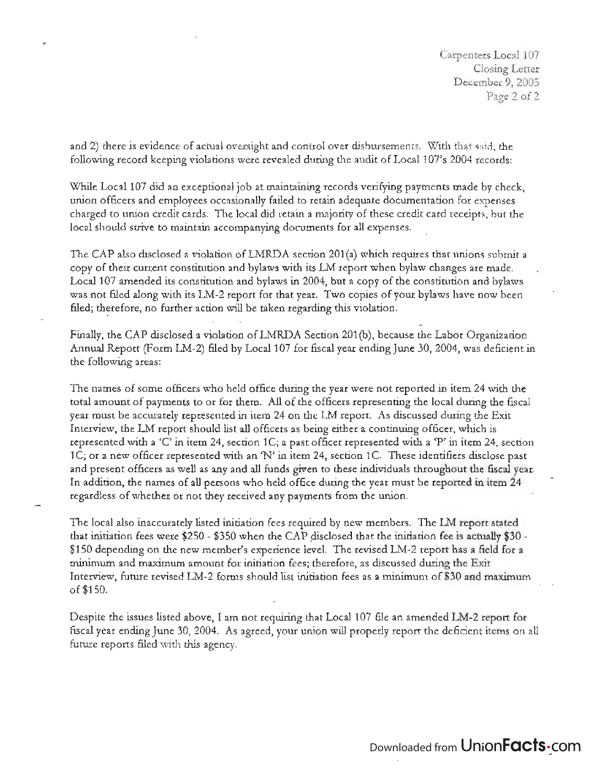Carpenters Local 107 Closing Letter December 9, 2005 Page 2 of 2

and 2) there is evidence of actual oversight and control over disbursements. With that said, the following record keeping violations were revealed during the audit of Local 107's 2004 records:

While Local 107 did an exceptional job at maintaining records verifying payments made by check, union officers and employees occasionally failed to retain adequate documentation for expenses charged to union credit cards. The local did retain a majority of these credit card receipts, but the local should strive to maintain accompanying documents for all expenses.

The CAP also disclosed a violation of LMRDA section 201 (a) which requires that unions submit a copy of their current constitution and bylaws with its LM report when bylaw changes are made. Local 107 amended its constitution and bylaws in 2004, but a copy of the constitution and bylaws was not filed along with its LM-2 report for that year. Two copies of your bylaws have now been filed; therefore, no further action will be taken regarding this violation.

Finally, the CAP disclosed a violation ofLMRDA Section 201 (b), because the Labor Organization Annual Report (Form LM-2) filed by Local 107 for fiscal year ending June 30, 2004, was deficient in the following areas:

The names of some officers who held office during the year were not reported in item 24 with the total amount of payments to or for them. All of the officers representing the local during the fiscal year must be accurately represented in item 24 on the LM report. As discussed during the Exit Interview, the LM report should list all officers as being either a continuing officer, which is represented with a 'C' in item 24, section 1C; a past officer represented with a 'P' in item 24, section 1C; or a new officer represented with an 'N' in item 24, section 1C. These identifiers disclose past and present officers as well as any and all funds given to these individuals throughout the fiscal year. In addition, the names of all persons who held office during the year must be reported in item 24 regardless of whether or not they received any payments from the union.

The local also inaccurately listed initiation fees required by new members. The LM report stated that initiation fees were \$250 - \$350 when the CAP disclosed that the initiation fee is actually \$30 -\$150 depending on the new member's experience level. The revised LM-2 report has a field for a minimum and maximum amount for initiation fees; therefore, as discussed during the Exit Interview, future revised LM-2 forms should list initiation fees as a minimum of \$30 and maximum of\$150.

Despite the issues listed above, I am not requiring that Local 107 file an amended LM-2 report for fiscal year ending June 30, 2004. As agreed, your union will properly report the deficient items on all future reports filed with this agency.